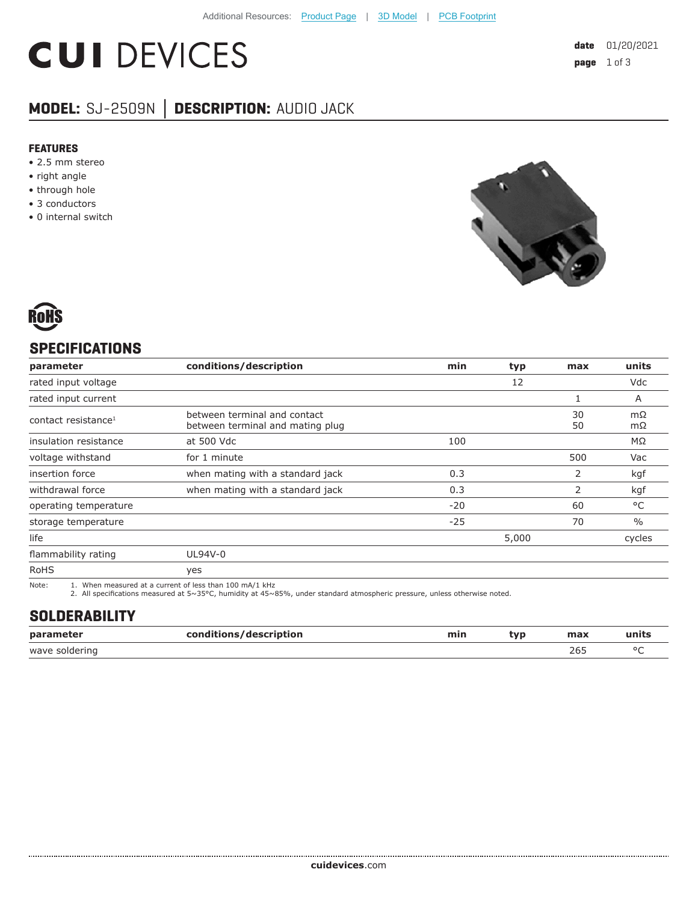# **CUI DEVICES**

### **MODEL:** SJ-2509N **│ DESCRIPTION:** AUDIO JACK

#### **FEATURES**

- 2.5 mm stereo
- right angle
- through hole
- 3 conductors
- 0 internal switch





#### **SPECIFICATIONS**

| parameter                       | conditions/description                                           | min   | typ   | max      | units         |
|---------------------------------|------------------------------------------------------------------|-------|-------|----------|---------------|
| rated input voltage             |                                                                  |       | 12    |          | Vdc           |
| rated input current             |                                                                  |       |       |          | A             |
| contact resistance <sup>1</sup> | between terminal and contact<br>between terminal and mating plug |       |       | 30<br>50 | mΩ<br>mΩ      |
| insulation resistance           | at 500 Vdc                                                       | 100   |       |          | MΩ            |
| voltage withstand               | for 1 minute                                                     |       |       | 500      | Vac           |
| insertion force                 | when mating with a standard jack                                 | 0.3   |       | 2        | kgf           |
| withdrawal force                | when mating with a standard jack                                 | 0.3   |       | 2        | kgf           |
| operating temperature           |                                                                  | $-20$ |       | 60       | °C            |
| storage temperature             |                                                                  | $-25$ |       | 70       | $\frac{0}{0}$ |
| life                            |                                                                  |       | 5,000 |          | cycles        |
| flammability rating             | UL94V-0                                                          |       |       |          |               |
| <b>RoHS</b>                     | yes                                                              |       |       |          |               |

Note: 1. When measured at a current of less than 100 mA/1 kHz 2. All specifications measured at 5~35°C, humidity at 45~85%, under standard atmospheric pressure, unless otherwise noted.

#### **SOLDERABILITY**

| parameter<br>$\sim$ $\sim$ $\sim$ $\sim$ $\sim$ $\sim$ | conditions/description | min | tvp | max | чшь    |
|--------------------------------------------------------|------------------------|-----|-----|-----|--------|
| wave soldering                                         |                        |     |     | 265 | $\sim$ |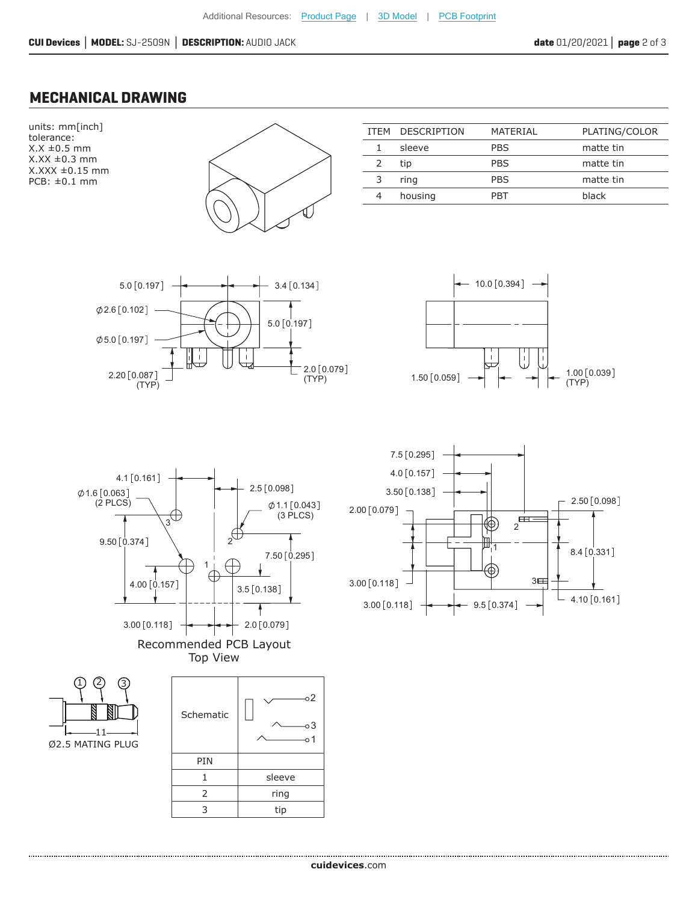#### **MECHANICAL DRAWING**